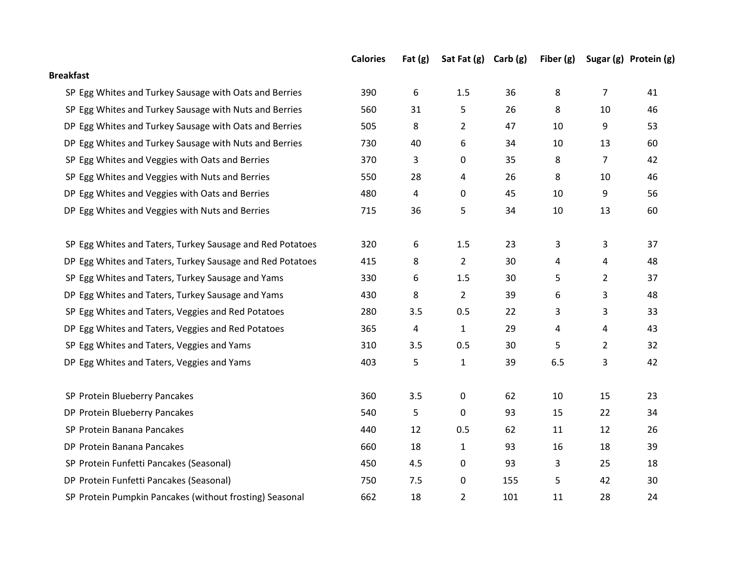|                                                           | <b>Calories</b> | Fat $(g)$ | Sat Fat (g) Carb (g) |     | Fiber $(g)$ |                | Sugar (g) Protein (g) |
|-----------------------------------------------------------|-----------------|-----------|----------------------|-----|-------------|----------------|-----------------------|
| <b>Breakfast</b>                                          |                 |           |                      |     |             |                |                       |
| SP Egg Whites and Turkey Sausage with Oats and Berries    | 390             | 6         | 1.5                  | 36  | 8           | $\overline{7}$ | 41                    |
| SP Egg Whites and Turkey Sausage with Nuts and Berries    | 560             | 31        | 5                    | 26  | 8           | 10             | 46                    |
| DP Egg Whites and Turkey Sausage with Oats and Berries    | 505             | 8         | $\overline{2}$       | 47  | 10          | 9              | 53                    |
| DP Egg Whites and Turkey Sausage with Nuts and Berries    | 730             | 40        | 6                    | 34  | 10          | 13             | 60                    |
| SP Egg Whites and Veggies with Oats and Berries           | 370             | 3         | 0                    | 35  | 8           | $\overline{7}$ | 42                    |
| SP Egg Whites and Veggies with Nuts and Berries           | 550             | 28        | 4                    | 26  | 8           | 10             | 46                    |
| DP Egg Whites and Veggies with Oats and Berries           | 480             | 4         | $\pmb{0}$            | 45  | 10          | 9              | 56                    |
| DP Egg Whites and Veggies with Nuts and Berries           | 715             | 36        | 5                    | 34  | 10          | 13             | 60                    |
| SP Egg Whites and Taters, Turkey Sausage and Red Potatoes | 320             | 6         | $1.5\,$              | 23  | 3           | 3              | 37                    |
| DP Egg Whites and Taters, Turkey Sausage and Red Potatoes | 415             | 8         | $\overline{2}$       | 30  | 4           | 4              | 48                    |
| SP Egg Whites and Taters, Turkey Sausage and Yams         | 330             | 6         | 1.5                  | 30  | 5           | $\overline{2}$ | 37                    |
| DP Egg Whites and Taters, Turkey Sausage and Yams         | 430             | 8         | $\overline{2}$       | 39  | 6           | 3              | 48                    |
| SP Egg Whites and Taters, Veggies and Red Potatoes        | 280             | 3.5       | 0.5                  | 22  | 3           | 3              | 33                    |
| DP Egg Whites and Taters, Veggies and Red Potatoes        | 365             | 4         | $1\,$                | 29  | 4           | 4              | 43                    |
| SP Egg Whites and Taters, Veggies and Yams                | 310             | 3.5       | 0.5                  | 30  | 5           | $\overline{2}$ | 32                    |
| DP Egg Whites and Taters, Veggies and Yams                | 403             | 5         | $\mathbf{1}$         | 39  | 6.5         | 3              | 42                    |
| SP Protein Blueberry Pancakes                             | 360             | 3.5       | 0                    | 62  | 10          | 15             | 23                    |
| DP Protein Blueberry Pancakes                             | 540             | 5         | 0                    | 93  | 15          | 22             | 34                    |
| SP Protein Banana Pancakes                                | 440             | 12        | 0.5                  | 62  | 11          | 12             | 26                    |
| DP Protein Banana Pancakes                                | 660             | 18        | $\mathbf{1}$         | 93  | 16          | 18             | 39                    |
| SP Protein Funfetti Pancakes (Seasonal)                   | 450             | 4.5       | $\pmb{0}$            | 93  | 3           | 25             | 18                    |
| DP Protein Funfetti Pancakes (Seasonal)                   | 750             | 7.5       | $\pmb{0}$            | 155 | 5           | 42             | 30                    |
| SP Protein Pumpkin Pancakes (without frosting) Seasonal   | 662             | 18        | $\overline{2}$       | 101 | 11          | 28             | 24                    |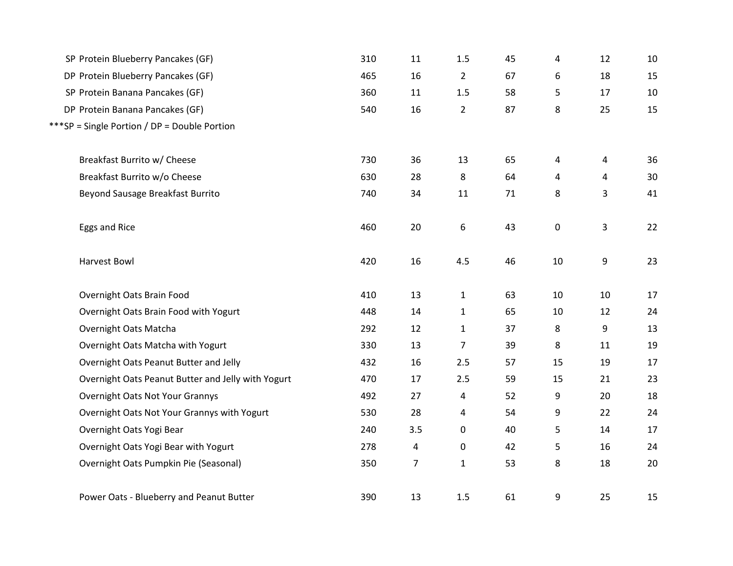| SP Protein Blueberry Pancakes (GF)                 | 310 | 11             | 1.5            | 45 | 4  | 12             | 10 |
|----------------------------------------------------|-----|----------------|----------------|----|----|----------------|----|
| DP Protein Blueberry Pancakes (GF)                 | 465 | 16             | $\overline{2}$ | 67 | 6  | 18             | 15 |
| SP Protein Banana Pancakes (GF)                    | 360 | 11             | 1.5            | 58 | 5  | 17             | 10 |
| DP Protein Banana Pancakes (GF)                    | 540 | 16             | $\overline{2}$ | 87 | 8  | 25             | 15 |
| ***SP = Single Portion / DP = Double Portion       |     |                |                |    |    |                |    |
|                                                    |     |                |                |    |    |                |    |
| Breakfast Burrito w/ Cheese                        | 730 | 36             | 13             | 65 | 4  | $\overline{4}$ | 36 |
| Breakfast Burrito w/o Cheese                       | 630 | 28             | 8              | 64 | 4  | 4              | 30 |
| Beyond Sausage Breakfast Burrito                   | 740 | 34             | 11             | 71 | 8  | 3              | 41 |
| Eggs and Rice                                      | 460 | 20             | 6              | 43 | 0  | 3              | 22 |
|                                                    |     |                |                |    |    |                |    |
| Harvest Bowl                                       | 420 | 16             | 4.5            | 46 | 10 | 9              | 23 |
| Overnight Oats Brain Food                          | 410 | 13             | $\mathbf{1}$   | 63 | 10 | 10             | 17 |
| Overnight Oats Brain Food with Yogurt              | 448 | 14             | $\mathbf{1}$   | 65 | 10 | 12             | 24 |
| Overnight Oats Matcha                              | 292 | 12             | $\mathbf{1}$   | 37 | 8  | 9              | 13 |
| Overnight Oats Matcha with Yogurt                  | 330 | 13             | 7              | 39 | 8  | 11             | 19 |
| Overnight Oats Peanut Butter and Jelly             | 432 | 16             | 2.5            | 57 | 15 | 19             | 17 |
| Overnight Oats Peanut Butter and Jelly with Yogurt | 470 | 17             | 2.5            | 59 | 15 | 21             | 23 |
| Overnight Oats Not Your Grannys                    | 492 | 27             | 4              | 52 | 9  | 20             | 18 |
| Overnight Oats Not Your Grannys with Yogurt        | 530 | 28             | 4              | 54 | 9  | 22             | 24 |
| Overnight Oats Yogi Bear                           | 240 | 3.5            | 0              | 40 | 5  | 14             | 17 |
| Overnight Oats Yogi Bear with Yogurt               | 278 | 4              | 0              | 42 | 5  | 16             | 24 |
| Overnight Oats Pumpkin Pie (Seasonal)              | 350 | $\overline{7}$ | $\mathbf{1}$   | 53 | 8  | 18             | 20 |
| Power Oats - Blueberry and Peanut Butter           | 390 | 13             | 1.5            | 61 | 9  | 25             | 15 |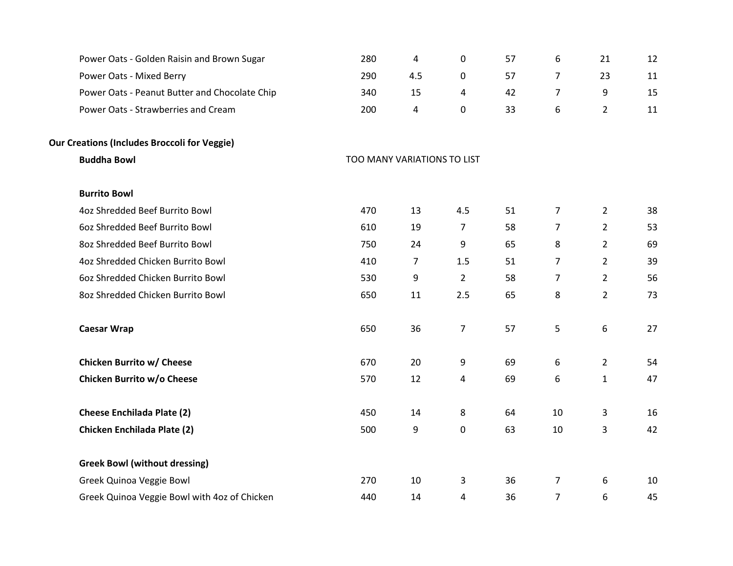| Power Oats - Golden Raisin and Brown Sugar          | 280                         | 4   | $\pmb{0}$      | 57 | 6              | 21             | 12 |
|-----------------------------------------------------|-----------------------------|-----|----------------|----|----------------|----------------|----|
| Power Oats - Mixed Berry                            | 290                         | 4.5 | 0              | 57 | $\overline{7}$ | 23             | 11 |
| Power Oats - Peanut Butter and Chocolate Chip       | 340                         | 15  | 4              | 42 | $\overline{7}$ | 9              | 15 |
| Power Oats - Strawberries and Cream                 | 200                         | 4   | $\pmb{0}$      | 33 | 6              | $\overline{2}$ | 11 |
| <b>Our Creations (Includes Broccoli for Veggie)</b> |                             |     |                |    |                |                |    |
| <b>Buddha Bowl</b>                                  | TOO MANY VARIATIONS TO LIST |     |                |    |                |                |    |
| <b>Burrito Bowl</b>                                 |                             |     |                |    |                |                |    |
| 4oz Shredded Beef Burrito Bowl                      | 470                         | 13  | 4.5            | 51 | $\overline{7}$ | $\overline{2}$ | 38 |
| 6oz Shredded Beef Burrito Bowl                      | 610                         | 19  | 7              | 58 | $\overline{7}$ | $\overline{2}$ | 53 |
| 8oz Shredded Beef Burrito Bowl                      | 750                         | 24  | 9              | 65 | 8              | $\overline{2}$ | 69 |
| 4oz Shredded Chicken Burrito Bowl                   | 410                         | 7   | 1.5            | 51 | $\overline{7}$ | $\overline{2}$ | 39 |
| 6oz Shredded Chicken Burrito Bowl                   | 530                         | 9   | $\overline{2}$ | 58 | $\overline{7}$ | $\overline{2}$ | 56 |
| 8oz Shredded Chicken Burrito Bowl                   | 650                         | 11  | 2.5            | 65 | 8              | $\overline{2}$ | 73 |
| <b>Caesar Wrap</b>                                  | 650                         | 36  | $\overline{7}$ | 57 | 5              | 6              | 27 |
| <b>Chicken Burrito w/ Cheese</b>                    | 670                         | 20  | 9              | 69 | 6              | $\overline{2}$ | 54 |
| Chicken Burrito w/o Cheese                          | 570                         | 12  | 4              | 69 | 6              | $\mathbf{1}$   | 47 |
| <b>Cheese Enchilada Plate (2)</b>                   | 450                         | 14  | 8              | 64 | 10             | 3              | 16 |
| <b>Chicken Enchilada Plate (2)</b>                  | 500                         | 9   | $\pmb{0}$      | 63 | 10             | 3              | 42 |
| <b>Greek Bowl (without dressing)</b>                |                             |     |                |    |                |                |    |
| Greek Quinoa Veggie Bowl                            | 270                         | 10  | 3              | 36 | 7              | 6              | 10 |
| Greek Quinoa Veggie Bowl with 4oz of Chicken        | 440                         | 14  | 4              | 36 | $\overline{7}$ | 6              | 45 |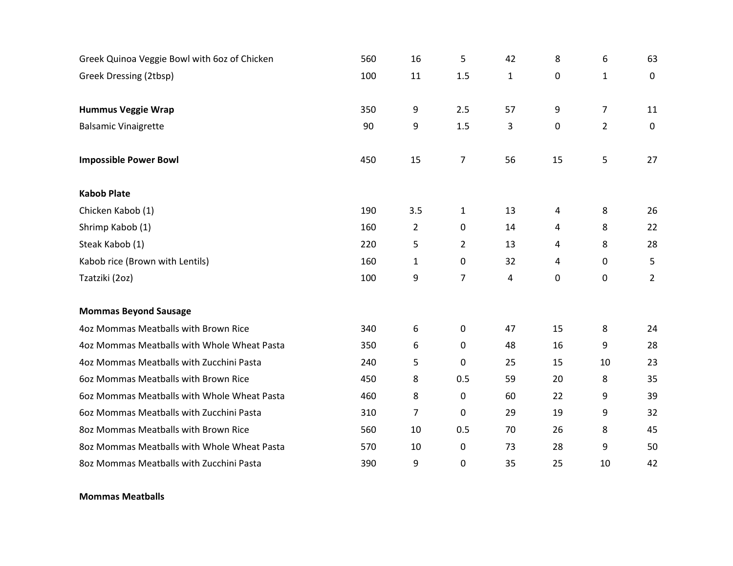| Greek Quinoa Veggie Bowl with 60z of Chicken | 560 | 16             | 5              | 42           | 8           | 6              | 63             |
|----------------------------------------------|-----|----------------|----------------|--------------|-------------|----------------|----------------|
| Greek Dressing (2tbsp)                       | 100 | 11             | 1.5            | $\mathbf{1}$ | 0           | $\mathbf{1}$   | $\mathbf 0$    |
|                                              |     |                |                |              |             |                |                |
| <b>Hummus Veggie Wrap</b>                    | 350 | 9              | 2.5            | 57           | 9           | $\overline{7}$ | 11             |
| <b>Balsamic Vinaigrette</b>                  | 90  | 9              | 1.5            | 3            | $\mathbf 0$ | $\overline{2}$ | $\mathbf 0$    |
|                                              |     |                |                |              |             |                |                |
| <b>Impossible Power Bowl</b>                 | 450 | 15             | $\overline{7}$ | 56           | 15          | 5              | 27             |
| <b>Kabob Plate</b>                           |     |                |                |              |             |                |                |
| Chicken Kabob (1)                            | 190 | 3.5            | $\mathbf{1}$   | 13           | 4           | 8              | 26             |
| Shrimp Kabob (1)                             | 160 | $\overline{2}$ | $\mathbf 0$    | 14           | 4           | 8              | 22             |
| Steak Kabob (1)                              | 220 | 5              | $\overline{2}$ | 13           | 4           | 8              | 28             |
| Kabob rice (Brown with Lentils)              | 160 | $\mathbf{1}$   | $\mathbf 0$    | 32           | 4           | 0              | 5              |
| Tzatziki (20z)                               | 100 | 9              | $\overline{7}$ | 4            | 0           | 0              | $\overline{2}$ |
|                                              |     |                |                |              |             |                |                |
| <b>Mommas Beyond Sausage</b>                 |     |                |                |              |             |                |                |
| 4oz Mommas Meatballs with Brown Rice         | 340 | 6              | $\mathbf 0$    | 47           | 15          | 8              | 24             |
| 4oz Mommas Meatballs with Whole Wheat Pasta  | 350 | 6              | 0              | 48           | 16          | 9              | 28             |
| 4oz Mommas Meatballs with Zucchini Pasta     | 240 | 5              | $\pmb{0}$      | 25           | 15          | 10             | 23             |
| 602 Mommas Meatballs with Brown Rice         | 450 | 8              | 0.5            | 59           | 20          | 8              | 35             |
| 602 Mommas Meatballs with Whole Wheat Pasta  | 460 | 8              | 0              | 60           | 22          | 9              | 39             |
| 602 Mommas Meatballs with Zucchini Pasta     | 310 | $\overline{7}$ | 0              | 29           | 19          | 9              | 32             |
| 802 Mommas Meatballs with Brown Rice         | 560 | 10             | 0.5            | 70           | 26          | 8              | 45             |
| 802 Mommas Meatballs with Whole Wheat Pasta  | 570 | 10             | 0              | 73           | 28          | 9              | 50             |
| 802 Mommas Meatballs with Zucchini Pasta     | 390 | 9              | $\mathbf 0$    | 35           | 25          | 10             | 42             |

## Mommas Meatballs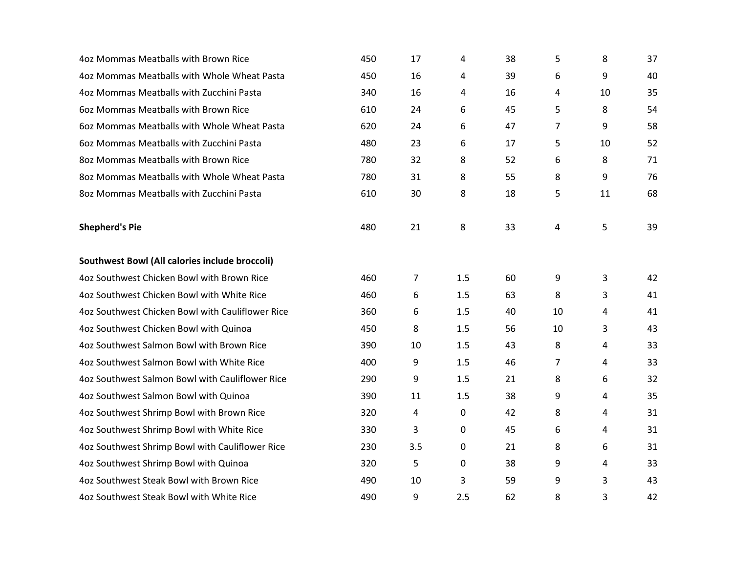| 4oz Mommas Meatballs with Brown Rice             | 450 | 17  | 4   | 38 | 5  | 8  | 37 |
|--------------------------------------------------|-----|-----|-----|----|----|----|----|
| 4oz Mommas Meatballs with Whole Wheat Pasta      | 450 | 16  | 4   | 39 | 6  | 9  | 40 |
| 4oz Mommas Meatballs with Zucchini Pasta         | 340 | 16  | 4   | 16 | 4  | 10 | 35 |
| 602 Mommas Meatballs with Brown Rice             | 610 | 24  | 6   | 45 | 5  | 8  | 54 |
| 602 Mommas Meatballs with Whole Wheat Pasta      | 620 | 24  | 6   | 47 | 7  | 9  | 58 |
| 602 Mommas Meatballs with Zucchini Pasta         | 480 | 23  | 6   | 17 | 5  | 10 | 52 |
| 802 Mommas Meatballs with Brown Rice             | 780 | 32  | 8   | 52 | 6  | 8  | 71 |
| 802 Mommas Meatballs with Whole Wheat Pasta      | 780 | 31  | 8   | 55 | 8  | 9  | 76 |
| 802 Mommas Meatballs with Zucchini Pasta         | 610 | 30  | 8   | 18 | 5  | 11 | 68 |
| <b>Shepherd's Pie</b>                            | 480 | 21  | 8   | 33 | 4  | 5  | 39 |
| Southwest Bowl (All calories include broccoli)   |     |     |     |    |    |    |    |
| 4oz Southwest Chicken Bowl with Brown Rice       | 460 | 7   | 1.5 | 60 | 9  | 3  | 42 |
| 4oz Southwest Chicken Bowl with White Rice       | 460 | 6   | 1.5 | 63 | 8  | 3  | 41 |
| 4oz Southwest Chicken Bowl with Cauliflower Rice | 360 | 6   | 1.5 | 40 | 10 | 4  | 41 |
| 4oz Southwest Chicken Bowl with Quinoa           | 450 | 8   | 1.5 | 56 | 10 | 3  | 43 |
| 4oz Southwest Salmon Bowl with Brown Rice        | 390 | 10  | 1.5 | 43 | 8  | 4  | 33 |
| 4oz Southwest Salmon Bowl with White Rice        | 400 | 9   | 1.5 | 46 | 7  | 4  | 33 |
| 4oz Southwest Salmon Bowl with Cauliflower Rice  | 290 | 9   | 1.5 | 21 | 8  | 6  | 32 |
| 4oz Southwest Salmon Bowl with Quinoa            | 390 | 11  | 1.5 | 38 | 9  | 4  | 35 |
| 4oz Southwest Shrimp Bowl with Brown Rice        | 320 | 4   | 0   | 42 | 8  | 4  | 31 |
| 4oz Southwest Shrimp Bowl with White Rice        | 330 | 3   | 0   | 45 | 6  | 4  | 31 |
| 4oz Southwest Shrimp Bowl with Cauliflower Rice  | 230 | 3.5 | 0   | 21 | 8  | 6  | 31 |
| 4oz Southwest Shrimp Bowl with Quinoa            | 320 | 5   | 0   | 38 | 9  | 4  | 33 |
| 4oz Southwest Steak Bowl with Brown Rice         | 490 | 10  | 3   | 59 | 9  | 3  | 43 |
| 4oz Southwest Steak Bowl with White Rice         | 490 | 9   | 2.5 | 62 | 8  | 3  | 42 |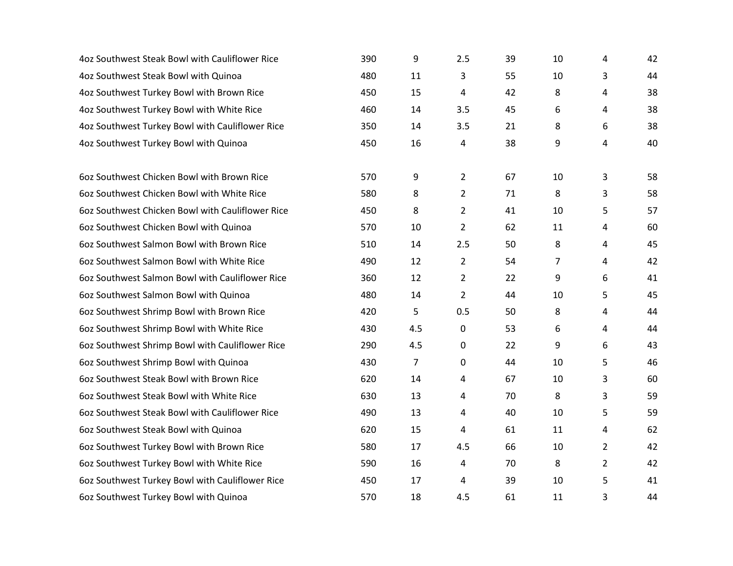| 4oz Southwest Steak Bowl with Cauliflower Rice   | 390 | 9              | 2.5            | 39 | 10             | 4              | 42 |
|--------------------------------------------------|-----|----------------|----------------|----|----------------|----------------|----|
| 4oz Southwest Steak Bowl with Quinoa             | 480 | 11             | 3              | 55 | 10             | 3              | 44 |
| 4oz Southwest Turkey Bowl with Brown Rice        | 450 | 15             | 4              | 42 | 8              | 4              | 38 |
| 4oz Southwest Turkey Bowl with White Rice        | 460 | 14             | 3.5            | 45 | 6              | 4              | 38 |
| 4oz Southwest Turkey Bowl with Cauliflower Rice  | 350 | 14             | 3.5            | 21 | 8              | 6              | 38 |
| 4oz Southwest Turkey Bowl with Quinoa            | 450 | 16             | 4              | 38 | 9              | 4              | 40 |
|                                                  |     |                |                |    |                |                |    |
| 602 Southwest Chicken Bowl with Brown Rice       | 570 | 9              | $\overline{2}$ | 67 | 10             | 3              | 58 |
| 602 Southwest Chicken Bowl with White Rice       | 580 | 8              | $\overline{2}$ | 71 | 8              | 3              | 58 |
| 60z Southwest Chicken Bowl with Cauliflower Rice | 450 | 8              | $\overline{2}$ | 41 | 10             | 5              | 57 |
| 60z Southwest Chicken Bowl with Quinoa           | 570 | 10             | $\overline{2}$ | 62 | 11             | 4              | 60 |
| 60z Southwest Salmon Bowl with Brown Rice        | 510 | 14             | 2.5            | 50 | 8              | 4              | 45 |
| 60z Southwest Salmon Bowl with White Rice        | 490 | 12             | $\overline{2}$ | 54 | $\overline{7}$ | 4              | 42 |
| 60z Southwest Salmon Bowl with Cauliflower Rice  | 360 | 12             | 2              | 22 | 9              | 6              | 41 |
| 60z Southwest Salmon Bowl with Quinoa            | 480 | 14             | $\overline{2}$ | 44 | 10             | 5              | 45 |
| 60z Southwest Shrimp Bowl with Brown Rice        | 420 | 5              | 0.5            | 50 | 8              | 4              | 44 |
| 60z Southwest Shrimp Bowl with White Rice        | 430 | 4.5            | 0              | 53 | 6              | 4              | 44 |
| 60z Southwest Shrimp Bowl with Cauliflower Rice  | 290 | 4.5            | 0              | 22 | 9              | 6              | 43 |
| 60z Southwest Shrimp Bowl with Quinoa            | 430 | $\overline{7}$ | 0              | 44 | 10             | 5              | 46 |
| 60z Southwest Steak Bowl with Brown Rice         | 620 | 14             | 4              | 67 | 10             | 3              | 60 |
| 60z Southwest Steak Bowl with White Rice         | 630 | 13             | 4              | 70 | 8              | 3              | 59 |
| 60z Southwest Steak Bowl with Cauliflower Rice   | 490 | 13             | 4              | 40 | 10             | 5              | 59 |
| 60z Southwest Steak Bowl with Quinoa             | 620 | 15             | 4              | 61 | 11             | 4              | 62 |
| 60z Southwest Turkey Bowl with Brown Rice        | 580 | 17             | 4.5            | 66 | 10             | $\overline{2}$ | 42 |
| 60z Southwest Turkey Bowl with White Rice        | 590 | 16             | 4              | 70 | 8              | $\overline{2}$ | 42 |
| 60z Southwest Turkey Bowl with Cauliflower Rice  | 450 | 17             | 4              | 39 | 10             | 5              | 41 |
| 60z Southwest Turkey Bowl with Quinoa            | 570 | 18             | 4.5            | 61 | 11             | 3              | 44 |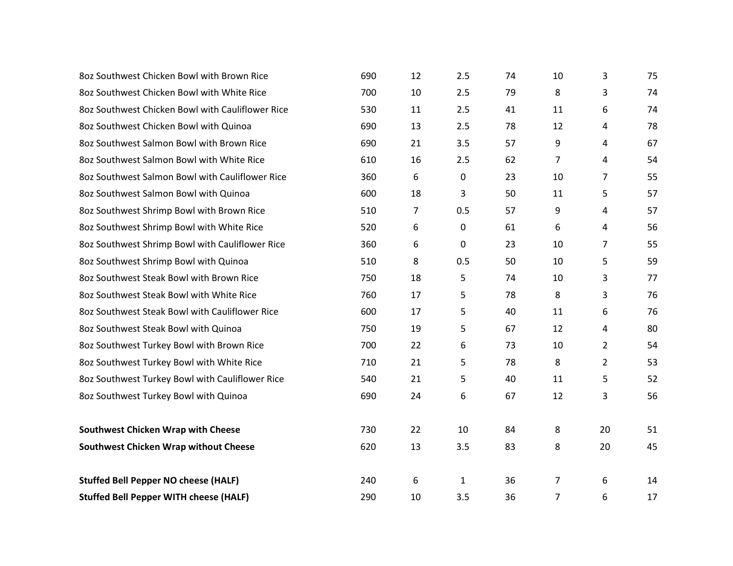| 80z Southwest Chicken Bowl with Brown Rice       | 690 | 12             | 2.5          | 74 | 10             | 3              | 75 |
|--------------------------------------------------|-----|----------------|--------------|----|----------------|----------------|----|
| 8oz Southwest Chicken Bowl with White Rice       | 700 | 10             | 2.5          | 79 | 8              | 3              | 74 |
| 8oz Southwest Chicken Bowl with Cauliflower Rice | 530 | 11             | 2.5          | 41 | 11             | 6              | 74 |
| 80z Southwest Chicken Bowl with Quinoa           | 690 | 13             | 2.5          | 78 | 12             | 4              | 78 |
| 80z Southwest Salmon Bowl with Brown Rice        | 690 | 21             | 3.5          | 57 | 9              | 4              | 67 |
| 8oz Southwest Salmon Bowl with White Rice        | 610 | 16             | 2.5          | 62 | 7              | 4              | 54 |
| 8oz Southwest Salmon Bowl with Cauliflower Rice  | 360 | 6              | $\mathbf 0$  | 23 | 10             | 7              | 55 |
| 8oz Southwest Salmon Bowl with Quinoa            | 600 | 18             | 3            | 50 | 11             | 5              | 57 |
| 8oz Southwest Shrimp Bowl with Brown Rice        | 510 | $\overline{7}$ | 0.5          | 57 | 9              | 4              | 57 |
| 802 Southwest Shrimp Bowl with White Rice        | 520 | 6              | $\mathbf 0$  | 61 | 6              | 4              | 56 |
| 8oz Southwest Shrimp Bowl with Cauliflower Rice  | 360 | 6              | $\mathbf 0$  | 23 | 10             | 7              | 55 |
| 8oz Southwest Shrimp Bowl with Quinoa            | 510 | 8              | 0.5          | 50 | 10             | 5              | 59 |
| 8oz Southwest Steak Bowl with Brown Rice         | 750 | 18             | 5            | 74 | 10             | 3              | 77 |
| 80z Southwest Steak Bowl with White Rice         | 760 | 17             | 5            | 78 | 8              | 3              | 76 |
| 8oz Southwest Steak Bowl with Cauliflower Rice   | 600 | 17             | 5            | 40 | 11             | 6              | 76 |
| 8oz Southwest Steak Bowl with Quinoa             | 750 | 19             | 5            | 67 | 12             | 4              | 80 |
| 8oz Southwest Turkey Bowl with Brown Rice        | 700 | 22             | 6            | 73 | 10             | $\overline{2}$ | 54 |
| 8oz Southwest Turkey Bowl with White Rice        | 710 | 21             | 5            | 78 | 8              | $\overline{2}$ | 53 |
| 8oz Southwest Turkey Bowl with Cauliflower Rice  | 540 | 21             | 5            | 40 | 11             | 5              | 52 |
| 8oz Southwest Turkey Bowl with Quinoa            | 690 | 24             | 6            | 67 | 12             | 3              | 56 |
| <b>Southwest Chicken Wrap with Cheese</b>        | 730 | 22             | 10           | 84 | 8              | 20             | 51 |
| <b>Southwest Chicken Wrap without Cheese</b>     | 620 | 13             | 3.5          | 83 | 8              | 20             | 45 |
| <b>Stuffed Bell Pepper NO cheese (HALF)</b>      | 240 | 6              | $\mathbf{1}$ | 36 | $\overline{7}$ | 6              | 14 |
| <b>Stuffed Bell Pepper WITH cheese (HALF)</b>    | 290 | 10             | 3.5          | 36 | 7              | 6              | 17 |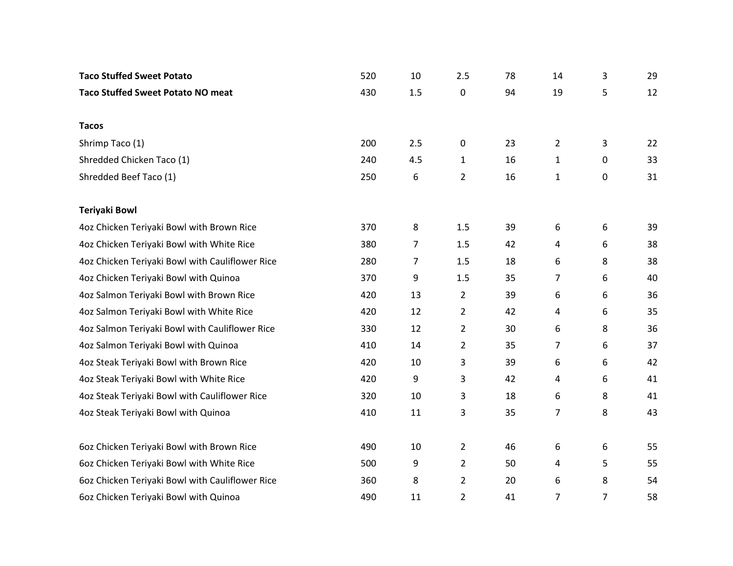| <b>Taco Stuffed Sweet Potato</b>                | 520 | 10  | 2.5            | 78 | 14             | 3 | 29 |
|-------------------------------------------------|-----|-----|----------------|----|----------------|---|----|
| <b>Taco Stuffed Sweet Potato NO meat</b>        | 430 | 1.5 | 0              | 94 | 19             | 5 | 12 |
|                                                 |     |     |                |    |                |   |    |
| <b>Tacos</b>                                    |     |     |                |    |                |   |    |
| Shrimp Taco (1)                                 | 200 | 2.5 | 0              | 23 | $\overline{2}$ | 3 | 22 |
| Shredded Chicken Taco (1)                       | 240 | 4.5 | $\mathbf{1}$   | 16 | $\mathbf 1$    | 0 | 33 |
| Shredded Beef Taco (1)                          | 250 | 6   | $\overline{2}$ | 16 | $\mathbf{1}$   | 0 | 31 |
| <b>Teriyaki Bowl</b>                            |     |     |                |    |                |   |    |
| 4oz Chicken Teriyaki Bowl with Brown Rice       | 370 | 8   | 1.5            | 39 | 6              | 6 | 39 |
| 4oz Chicken Teriyaki Bowl with White Rice       | 380 | 7   | 1.5            | 42 | 4              | 6 | 38 |
| 4oz Chicken Teriyaki Bowl with Cauliflower Rice | 280 | 7   | 1.5            | 18 | 6              | 8 | 38 |
| 4oz Chicken Teriyaki Bowl with Quinoa           | 370 | 9   | 1.5            | 35 | $\overline{7}$ | 6 | 40 |
| 4oz Salmon Teriyaki Bowl with Brown Rice        | 420 | 13  | $\overline{2}$ | 39 | 6              | 6 | 36 |
| 4oz Salmon Teriyaki Bowl with White Rice        | 420 | 12  | $\overline{2}$ | 42 | 4              | 6 | 35 |
| 4oz Salmon Teriyaki Bowl with Cauliflower Rice  | 330 | 12  | $\overline{2}$ | 30 | 6              | 8 | 36 |
| 4oz Salmon Teriyaki Bowl with Quinoa            | 410 | 14  | 2              | 35 | $\overline{7}$ | 6 | 37 |
| 4oz Steak Teriyaki Bowl with Brown Rice         | 420 | 10  | 3              | 39 | 6              | 6 | 42 |
| 4oz Steak Teriyaki Bowl with White Rice         | 420 | 9   | 3              | 42 | 4              | 6 | 41 |
| 4oz Steak Teriyaki Bowl with Cauliflower Rice   | 320 | 10  | 3              | 18 | 6              | 8 | 41 |
| 4oz Steak Teriyaki Bowl with Quinoa             | 410 | 11  | 3              | 35 | $\overline{7}$ | 8 | 43 |
|                                                 |     |     |                |    |                |   |    |
| 60z Chicken Teriyaki Bowl with Brown Rice       | 490 | 10  | $\overline{2}$ | 46 | 6              | 6 | 55 |
| 60z Chicken Teriyaki Bowl with White Rice       | 500 | 9   | $\overline{2}$ | 50 | 4              | 5 | 55 |
| 60z Chicken Teriyaki Bowl with Cauliflower Rice | 360 | 8   | 2              | 20 | 6              | 8 | 54 |
| 6oz Chicken Teriyaki Bowl with Quinoa           | 490 | 11  | $\overline{2}$ | 41 | $\overline{7}$ | 7 | 58 |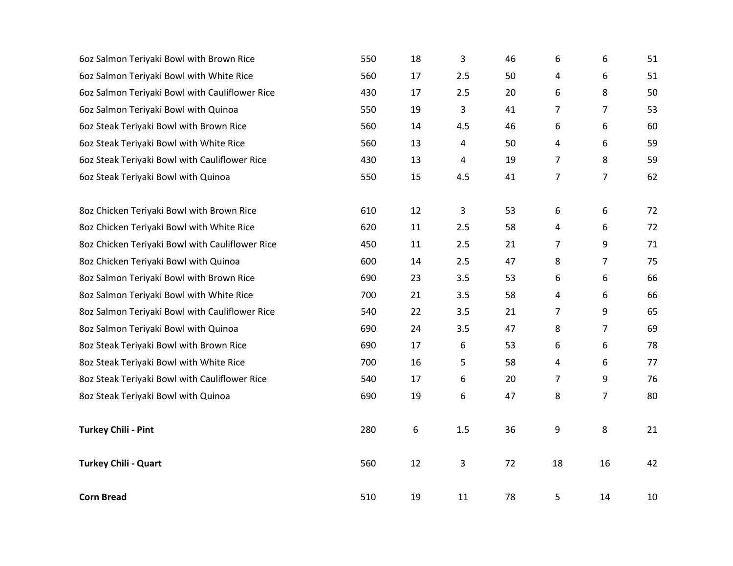| 60z Salmon Teriyaki Bowl with Brown Rice        | 550 | 18 | 3   | 46 | 6  | 6              | 51 |
|-------------------------------------------------|-----|----|-----|----|----|----------------|----|
| 60z Salmon Teriyaki Bowl with White Rice        | 560 | 17 | 2.5 | 50 | 4  | 6              | 51 |
| 60z Salmon Teriyaki Bowl with Cauliflower Rice  | 430 | 17 | 2.5 | 20 | 6  | 8              | 50 |
| 60z Salmon Teriyaki Bowl with Quinoa            | 550 | 19 | 3   | 41 | 7  | 7              | 53 |
| 602 Steak Teriyaki Bowl with Brown Rice         | 560 | 14 | 4.5 | 46 | 6  | 6              | 60 |
| 602 Steak Teriyaki Bowl with White Rice         | 560 | 13 | 4   | 50 | 4  | 6              | 59 |
| 60z Steak Teriyaki Bowl with Cauliflower Rice   | 430 | 13 | 4   | 19 | 7  | 8              | 59 |
| 6oz Steak Teriyaki Bowl with Quinoa             | 550 | 15 | 4.5 | 41 | 7  | $\overline{7}$ | 62 |
| 8oz Chicken Teriyaki Bowl with Brown Rice       | 610 | 12 | 3   | 53 | 6  | 6              | 72 |
| 8oz Chicken Teriyaki Bowl with White Rice       | 620 | 11 | 2.5 | 58 | 4  | 6              | 72 |
| 8oz Chicken Teriyaki Bowl with Cauliflower Rice | 450 | 11 | 2.5 | 21 | 7  | 9              | 71 |
| 8oz Chicken Teriyaki Bowl with Quinoa           | 600 | 14 | 2.5 | 47 | 8  | 7              | 75 |
| 8oz Salmon Teriyaki Bowl with Brown Rice        | 690 | 23 | 3.5 | 53 | 6  | 6              | 66 |
| 8oz Salmon Teriyaki Bowl with White Rice        | 700 | 21 | 3.5 | 58 | 4  | 6              | 66 |
| 8oz Salmon Teriyaki Bowl with Cauliflower Rice  | 540 | 22 | 3.5 | 21 | 7  | 9              | 65 |
| 8oz Salmon Teriyaki Bowl with Quinoa            | 690 | 24 | 3.5 | 47 | 8  | 7              | 69 |
| 8oz Steak Teriyaki Bowl with Brown Rice         | 690 | 17 | 6   | 53 | 6  | 6              | 78 |
| 8oz Steak Teriyaki Bowl with White Rice         | 700 | 16 | 5   | 58 | 4  | 6              | 77 |
| 8oz Steak Teriyaki Bowl with Cauliflower Rice   | 540 | 17 | 6   | 20 | 7  | 9              | 76 |
| 8oz Steak Teriyaki Bowl with Quinoa             | 690 | 19 | 6   | 47 | 8  | $\overline{7}$ | 80 |
| <b>Turkey Chili - Pint</b>                      | 280 | 6  | 1.5 | 36 | 9  | 8              | 21 |
| <b>Turkey Chili - Quart</b>                     | 560 | 12 | 3   | 72 | 18 | 16             | 42 |
| <b>Corn Bread</b>                               | 510 | 19 | 11  | 78 | 5  | 14             | 10 |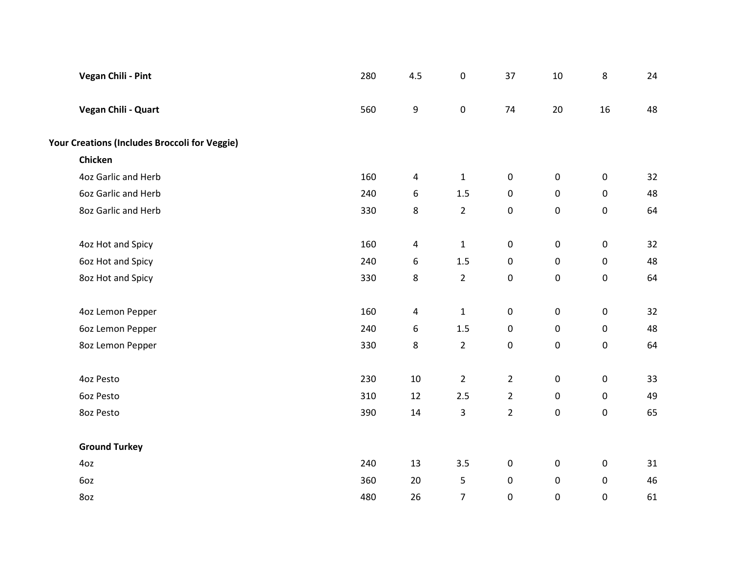| <b>Vegan Chili - Pint</b>                     | 280 | 4.5    | $\pmb{0}$      | 37             | $10\,$              | 8                   | 24 |
|-----------------------------------------------|-----|--------|----------------|----------------|---------------------|---------------------|----|
| Vegan Chili - Quart                           | 560 | 9      | $\pmb{0}$      | 74             | 20                  | 16                  | 48 |
| Your Creations (Includes Broccoli for Veggie) |     |        |                |                |                     |                     |    |
| Chicken                                       |     |        |                |                |                     |                     |    |
| 4oz Garlic and Herb                           | 160 | 4      | $\mathbf 1$    | $\pmb{0}$      | $\mathsf{O}\xspace$ | $\mathsf{O}\xspace$ | 32 |
| 6oz Garlic and Herb                           | 240 | 6      | $1.5\,$        | $\pmb{0}$      | $\mathsf{O}\xspace$ | $\mathsf{O}\xspace$ | 48 |
| 8oz Garlic and Herb                           | 330 | 8      | $\overline{2}$ | $\pmb{0}$      | $\mathsf{O}\xspace$ | $\mathsf{O}\xspace$ | 64 |
| 4oz Hot and Spicy                             | 160 | 4      | $\mathbf 1$    | $\pmb{0}$      | $\mathsf 0$         | $\mathbf 0$         | 32 |
| 6oz Hot and Spicy                             | 240 | 6      | $1.5\,$        | $\pmb{0}$      | 0                   | $\mathsf{O}\xspace$ | 48 |
| 8oz Hot and Spicy                             | 330 | 8      | $\overline{2}$ | $\pmb{0}$      | $\mathsf{O}\xspace$ | $\mathsf{O}\xspace$ | 64 |
| 4oz Lemon Pepper                              | 160 | 4      | $\mathbf 1$    | $\pmb{0}$      | $\mathsf{O}\xspace$ | $\pmb{0}$           | 32 |
| 6oz Lemon Pepper                              | 240 | 6      | 1.5            | $\pmb{0}$      | $\mathsf{O}\xspace$ | $\mathsf{O}\xspace$ | 48 |
| 8oz Lemon Pepper                              | 330 | 8      | $\overline{2}$ | $\pmb{0}$      | $\pmb{0}$           | $\pmb{0}$           | 64 |
| 4oz Pesto                                     | 230 | $10\,$ | $\overline{2}$ | $\overline{2}$ | $\mathbf 0$         | $\mathbf 0$         | 33 |
| 6oz Pesto                                     | 310 | 12     | 2.5            | $\overline{2}$ | 0                   | $\mathsf{O}\xspace$ | 49 |
| 8oz Pesto                                     | 390 | 14     | 3              | $\overline{2}$ | 0                   | $\pmb{0}$           | 65 |
| <b>Ground Turkey</b>                          |     |        |                |                |                     |                     |    |
| 4oz                                           | 240 | 13     | 3.5            | $\pmb{0}$      | $\mathsf{O}\xspace$ | $\mathsf{O}\xspace$ | 31 |
| 6oz                                           | 360 | 20     | 5              | $\pmb{0}$      | 0                   | $\pmb{0}$           | 46 |
| 8oz                                           | 480 | 26     | $\overline{7}$ | $\mathbf 0$    | $\pmb{0}$           | $\pmb{0}$           | 61 |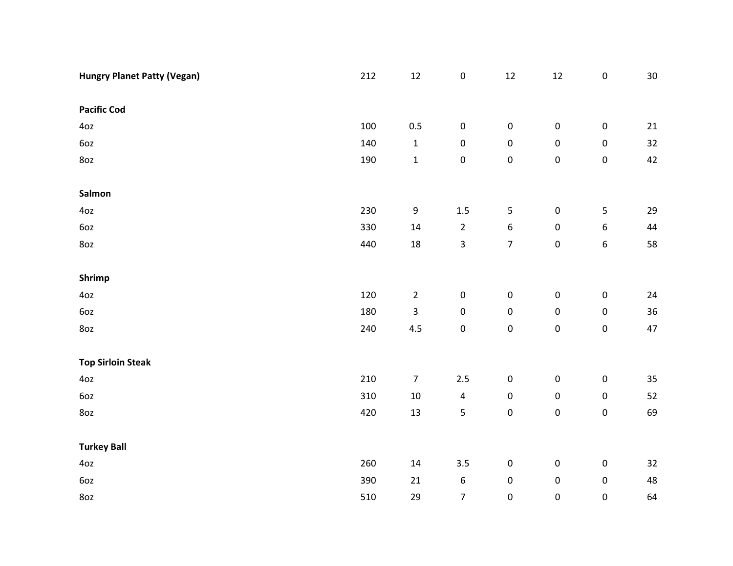| <b>Hungry Planet Patty (Vegan)</b> | 212 | $12\,$                  | $\pmb{0}$        | $12\,$                  | $12\,$      | $\pmb{0}$        | $30\,$ |
|------------------------------------|-----|-------------------------|------------------|-------------------------|-------------|------------------|--------|
|                                    |     |                         |                  |                         |             |                  |        |
| <b>Pacific Cod</b>                 |     |                         |                  |                         |             |                  |        |
| 4oz                                | 100 | 0.5                     | $\pmb{0}$        | $\pmb{0}$               | $\pmb{0}$   | $\pmb{0}$        | 21     |
| 6oz                                | 140 | $\mathbf 1$             | $\pmb{0}$        | $\pmb{0}$               | $\pmb{0}$   | $\pmb{0}$        | 32     |
| 8oz                                | 190 | $\mathbf 1$             | $\pmb{0}$        | $\pmb{0}$               | $\pmb{0}$   | $\pmb{0}$        | 42     |
|                                    |     |                         |                  |                         |             |                  |        |
| Salmon                             |     |                         |                  |                         |             |                  |        |
| 4oz                                | 230 | 9                       | $1.5\,$          | 5                       | $\pmb{0}$   | 5                | 29     |
| 6oz                                | 330 | $14\,$                  | $\overline{2}$   | $\boldsymbol{6}$        | $\pmb{0}$   | 6                | 44     |
| 8oz                                | 440 | $18\,$                  | 3                | $\overline{\mathbf{7}}$ | $\pmb{0}$   | $\boldsymbol{6}$ | 58     |
|                                    |     |                         |                  |                         |             |                  |        |
| Shrimp                             |     |                         |                  |                         |             |                  |        |
| 4oz                                | 120 | $\overline{2}$          | $\pmb{0}$        | $\pmb{0}$               | ${\bf 0}$   | $\pmb{0}$        | 24     |
| 6oz                                | 180 | $\overline{\mathbf{3}}$ | $\pmb{0}$        | $\pmb{0}$               | $\pmb{0}$   | $\pmb{0}$        | 36     |
| 8oz                                | 240 | 4.5                     | $\pmb{0}$        | $\pmb{0}$               | $\mathbf 0$ | $\mathsf 0$      | 47     |
|                                    |     |                         |                  |                         |             |                  |        |
| <b>Top Sirloin Steak</b>           |     |                         |                  |                         |             |                  |        |
| 4oz                                | 210 | $\overline{7}$          | 2.5              | $\pmb{0}$               | $\pmb{0}$   | $\pmb{0}$        | 35     |
| 6oz                                | 310 | $10\,$                  | $\pmb{4}$        | $\pmb{0}$               | $\pmb{0}$   | $\pmb{0}$        | 52     |
| 8oz                                | 420 | 13                      | 5                | $\pmb{0}$               | $\pmb{0}$   | $\mathbf 0$      | 69     |
|                                    |     |                         |                  |                         |             |                  |        |
| <b>Turkey Ball</b>                 |     |                         |                  |                         |             |                  |        |
| 4oz                                | 260 | 14                      | 3.5              | $\pmb{0}$               | $\pmb{0}$   | $\pmb{0}$        | 32     |
| 6oz                                | 390 | $21\,$                  | $\boldsymbol{6}$ | $\pmb{0}$               | $\pmb{0}$   | $\pmb{0}$        | 48     |
| 8oz                                | 510 | 29                      | $\overline{7}$   | $\pmb{0}$               | $\pmb{0}$   | $\pmb{0}$        | 64     |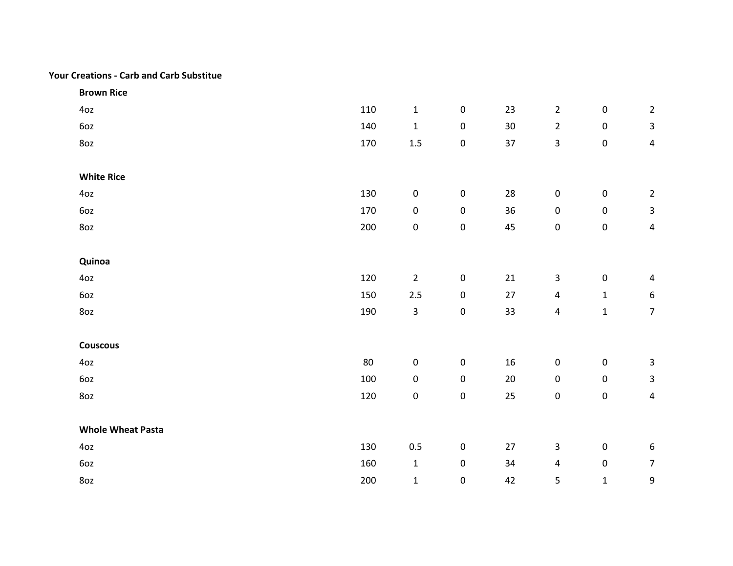## Your Creations - Carb and Carb Substitue

| <b>Brown Rice</b>        |        |                |             |                 |                     |             |                         |
|--------------------------|--------|----------------|-------------|-----------------|---------------------|-------------|-------------------------|
| 4oz                      | 110    | $\mathbf{1}$   | $\mathbf 0$ | 23              | $\overline{2}$      | $\mathbf 0$ | $\overline{2}$          |
| 6oz                      | 140    | $\mathbf{1}$   | $\pmb{0}$   | 30 <sub>o</sub> | $\overline{2}$      | $\pmb{0}$   | $\mathbf{3}$            |
| 8oz                      | 170    | $1.5\,$        | $\pmb{0}$   | 37              | $\mathsf 3$         | $\pmb{0}$   | 4                       |
|                          |        |                |             |                 |                     |             |                         |
| <b>White Rice</b>        |        |                |             |                 |                     |             |                         |
| 4oz                      | 130    | $\pmb{0}$      | $\pmb{0}$   | 28              | $\pmb{0}$           | $\pmb{0}$   | $\overline{2}$          |
| 6oz                      | 170    | $\pmb{0}$      | $\pmb{0}$   | 36              | $\mathsf{O}\xspace$ | $\pmb{0}$   | $\mathbf{3}$            |
| 8oz                      | 200    | $\pmb{0}$      | $\pmb{0}$   | 45              | $\mathsf{O}\xspace$ | $\pmb{0}$   | $\overline{\mathbf{4}}$ |
|                          |        |                |             |                 |                     |             |                         |
| Quinoa                   |        |                |             |                 |                     |             |                         |
| 4oz                      | 120    | $\overline{2}$ | $\pmb{0}$   | 21              | $\mathbf{3}$        | $\pmb{0}$   | $\overline{4}$          |
| 6oz                      | 150    | $2.5\,$        | $\pmb{0}$   | 27              | $\overline{a}$      | $\mathbf 1$ | 6                       |
| 8oz                      | 190    | $\overline{3}$ | $\pmb{0}$   | 33              | $\pmb{4}$           | $\mathbf 1$ | $\overline{7}$          |
|                          |        |                |             |                 |                     |             |                         |
| <b>Couscous</b>          |        |                |             |                 |                     |             |                         |
| 4oz                      | $80\,$ | $\pmb{0}$      | $\pmb{0}$   | 16              | $\pmb{0}$           | $\pmb{0}$   | 3                       |
| 6oz                      | 100    | $\pmb{0}$      | $\pmb{0}$   | $20\,$          | $\pmb{0}$           | $\pmb{0}$   | 3                       |
| 8oz                      | 120    | $\pmb{0}$      | $\pmb{0}$   | 25              | $\mathbf 0$         | $\pmb{0}$   | $\overline{\mathbf{4}}$ |
|                          |        |                |             |                 |                     |             |                         |
| <b>Whole Wheat Pasta</b> |        |                |             |                 |                     |             |                         |
| 4oz                      | 130    | $0.5\,$        | $\pmb{0}$   | 27              | $\mathbf{3}$        | $\pmb{0}$   | $\boldsymbol{6}$        |
| 6oz                      | 160    | $\mathbf{1}$   | $\pmb{0}$   | 34              | $\overline{4}$      | $\pmb{0}$   | $\overline{7}$          |
| 8oz                      | 200    | $\mathbf{1}$   | $\pmb{0}$   | 42              | 5                   | $\mathbf 1$ | 9                       |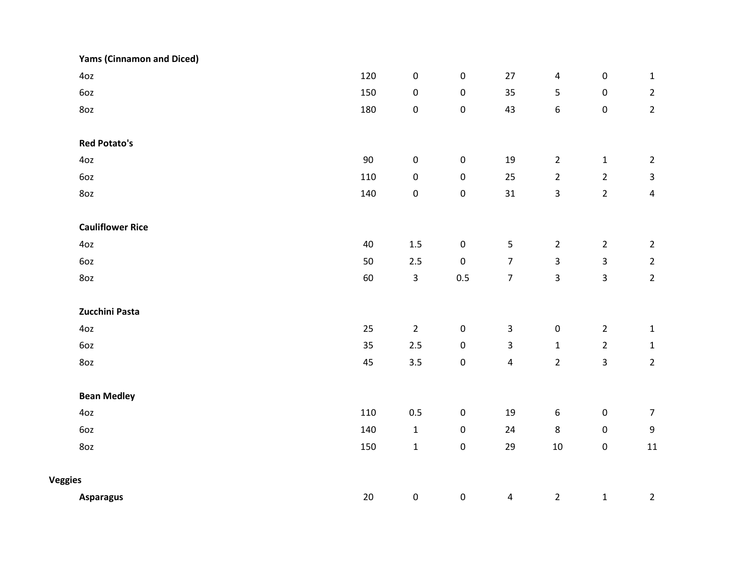|                | <b>Yams (Cinnamon and Diced)</b> |     |                |                     |                         |                  |                |                  |
|----------------|----------------------------------|-----|----------------|---------------------|-------------------------|------------------|----------------|------------------|
|                | 40z                              | 120 | $\pmb{0}$      | $\pmb{0}$           | $27\,$                  | $\overline{4}$   | $\pmb{0}$      | $\mathbf 1$      |
|                | 6oz                              | 150 | $\pmb{0}$      | $\mathsf{O}\xspace$ | 35                      | $\overline{5}$   | $\pmb{0}$      | $\overline{2}$   |
|                | 8oz                              | 180 | $\pmb{0}$      | $\mathsf{O}\xspace$ | 43                      | $\boldsymbol{6}$ | $\pmb{0}$      | $\overline{2}$   |
|                | <b>Red Potato's</b>              |     |                |                     |                         |                  |                |                  |
|                | 4oz                              | 90  | $\pmb{0}$      | $\mathsf{O}\xspace$ | 19                      | $\overline{2}$   | $\mathbf 1$    | $\overline{2}$   |
|                | 6oz                              | 110 | $\pmb{0}$      | $\mathsf{O}\xspace$ | 25                      | $\overline{2}$   | $\overline{2}$ | $\mathbf{3}$     |
|                | 8oz                              | 140 | $\pmb{0}$      | $\pmb{0}$           | 31                      | 3                | $\overline{2}$ | $\pmb{4}$        |
|                | <b>Cauliflower Rice</b>          |     |                |                     |                         |                  |                |                  |
|                | 4oz                              | 40  | $1.5\,$        | $\mathbf 0$         | $\overline{5}$          | $\overline{2}$   | $\overline{2}$ | $\overline{2}$   |
|                | 6oz                              | 50  | $2.5$          | $\mathbf 0$         | $\overline{7}$          | 3                | $\mathsf{3}$   | $\overline{2}$   |
|                | 8oz                              | 60  | $\mathbf{3}$   | 0.5                 | $\overline{7}$          | 3                | $\mathbf{3}$   | $\overline{2}$   |
|                | Zucchini Pasta                   |     |                |                     |                         |                  |                |                  |
|                | 4oz                              | 25  | $\overline{2}$ | $\mathbf 0$         | $\mathbf{3}$            | $\pmb{0}$        | $\overline{2}$ | $\mathbf 1$      |
|                | 6oz                              | 35  | $2.5\,$        | $\pmb{0}$           | $\mathbf{3}$            | $\mathbf 1$      | $\overline{2}$ | $\mathbf 1$      |
|                | 8oz                              | 45  | 3.5            | $\mathbf 0$         | $\overline{4}$          | $\overline{2}$   | $\mathbf{3}$   | $\overline{2}$   |
|                | <b>Bean Medley</b>               |     |                |                     |                         |                  |                |                  |
|                | 4oz                              | 110 | $0.5\,$        | $\pmb{0}$           | 19                      | $\boldsymbol{6}$ | $\pmb{0}$      | $\overline{7}$   |
|                | 6oz                              | 140 | $\mathbf{1}$   | $\mathbf 0$         | 24                      | 8                | $\pmb{0}$      | $\boldsymbol{9}$ |
|                | 8oz                              | 150 | $\mathbf{1}$   | $\mathbf 0$         | 29                      | $10\,$           | $\mathbf 0$    | $11\,$           |
| <b>Veggies</b> |                                  |     |                |                     |                         |                  |                |                  |
|                | <b>Asparagus</b>                 | 20  | $\pmb{0}$      | $\pmb{0}$           | $\overline{\mathbf{4}}$ | $\overline{2}$   | $\mathbf{1}$   | $\overline{2}$   |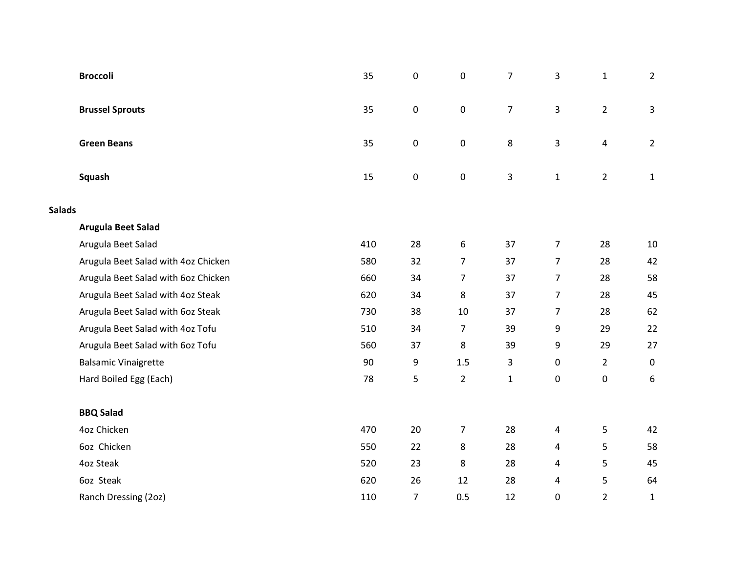|               | <b>Broccoli</b>                     | 35  | $\mathsf{O}\xspace$ | $\pmb{0}$      | $\overline{7}$ | 3              | $\mathbf{1}$   | $2^{\circ}$    |
|---------------|-------------------------------------|-----|---------------------|----------------|----------------|----------------|----------------|----------------|
|               | <b>Brussel Sprouts</b>              | 35  | $\mathbf 0$         | $\pmb{0}$      | $\overline{7}$ | 3              | $2^{\circ}$    | 3              |
|               | <b>Green Beans</b>                  | 35  | $\mathsf{O}\xspace$ | $\pmb{0}$      | 8              | 3              | $\overline{4}$ | $\overline{2}$ |
|               | Squash                              | 15  | $\mathsf{O}\xspace$ | $\pmb{0}$      | $\overline{3}$ | $\mathbf{1}$   | $\overline{2}$ | $\mathbf{1}$   |
| <b>Salads</b> |                                     |     |                     |                |                |                |                |                |
|               | Arugula Beet Salad                  |     |                     |                |                |                |                |                |
|               | Arugula Beet Salad                  | 410 | 28                  | 6              | 37             | $\overline{7}$ | 28             | 10             |
|               | Arugula Beet Salad with 4oz Chicken | 580 | 32                  | $\overline{7}$ | 37             | $\overline{7}$ | 28             | 42             |
|               | Arugula Beet Salad with 60z Chicken | 660 | 34                  | $\overline{7}$ | 37             | $\overline{7}$ | 28             | 58             |
|               | Arugula Beet Salad with 4oz Steak   | 620 | 34                  | 8              | 37             | $\overline{7}$ | 28             | 45             |
|               | Arugula Beet Salad with 60z Steak   | 730 | 38                  | $10\,$         | 37             | $\overline{7}$ | 28             | 62             |
|               | Arugula Beet Salad with 4oz Tofu    | 510 | 34                  | $\overline{7}$ | 39             | 9              | 29             | 22             |
|               | Arugula Beet Salad with 60z Tofu    | 560 | 37                  | 8              | 39             | 9              | 29             | 27             |
|               | <b>Balsamic Vinaigrette</b>         | 90  | 9                   | 1.5            | 3              | 0              | $\overline{2}$ | $\mathbf 0$    |
|               | Hard Boiled Egg (Each)              | 78  | 5                   | $\overline{2}$ | $\mathbf 1$    | 0              | $\pmb{0}$      | 6              |
|               | <b>BBQ Salad</b>                    |     |                     |                |                |                |                |                |
|               | 4oz Chicken                         | 470 | 20                  | $\overline{7}$ | 28             | 4              | 5              | 42             |
|               | 6oz Chicken                         | 550 | 22                  | 8              | 28             | 4              | 5              | 58             |
|               | 4oz Steak                           | 520 | 23                  | 8              | 28             | 4              | 5              | 45             |
|               | 6oz Steak                           | 620 | 26                  | 12             | 28             | 4              | 5              | 64             |
|               | Ranch Dressing (2oz)                | 110 | $\overline{7}$      | 0.5            | 12             | $\pmb{0}$      | $\overline{2}$ | $\mathbf 1$    |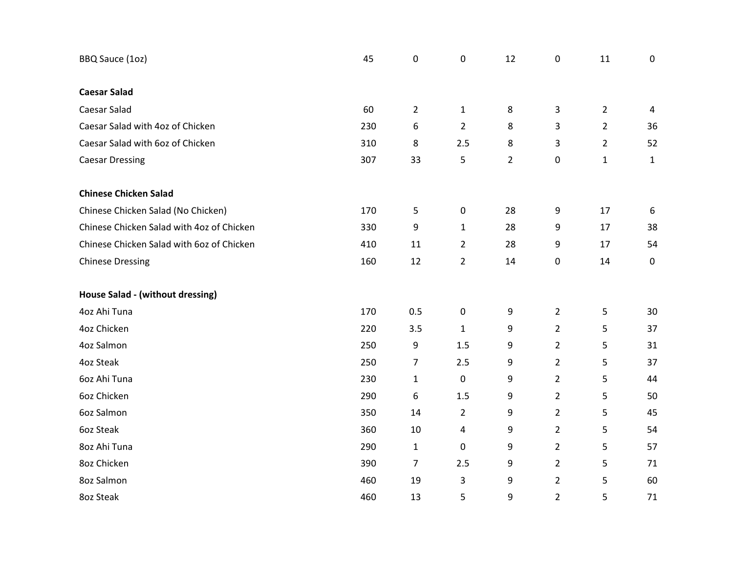| BBQ Sauce (1oz)                           | 45  | 0              | $\pmb{0}$      | 12             | 0              | 11             | 0              |
|-------------------------------------------|-----|----------------|----------------|----------------|----------------|----------------|----------------|
|                                           |     |                |                |                |                |                |                |
| <b>Caesar Salad</b>                       |     |                |                |                |                |                |                |
| Caesar Salad                              | 60  | $\overline{2}$ | $\mathbf{1}$   | 8              | 3              | $\overline{2}$ | $\overline{4}$ |
| Caesar Salad with 4oz of Chicken          | 230 | 6              | $\overline{2}$ | 8              | 3              | $\overline{2}$ | 36             |
| Caesar Salad with 6oz of Chicken          | 310 | 8              | 2.5            | 8              | 3              | $\overline{2}$ | 52             |
| <b>Caesar Dressing</b>                    | 307 | 33             | 5              | $\overline{2}$ | 0              | $\mathbf{1}$   | $\mathbf{1}$   |
| <b>Chinese Chicken Salad</b>              |     |                |                |                |                |                |                |
| Chinese Chicken Salad (No Chicken)        | 170 | 5              | $\mathbf 0$    | 28             | 9              | 17             | 6              |
| Chinese Chicken Salad with 4oz of Chicken | 330 | 9              | $\mathbf{1}$   | 28             | 9              | 17             | 38             |
| Chinese Chicken Salad with 60z of Chicken | 410 | 11             | $\overline{2}$ | 28             | 9              | 17             | 54             |
| <b>Chinese Dressing</b>                   | 160 | 12             | $\overline{2}$ | 14             | 0              | 14             | 0              |
| House Salad - (without dressing)          |     |                |                |                |                |                |                |
| 4oz Ahi Tuna                              | 170 | 0.5            | $\mathbf 0$    | 9              | $\overline{2}$ | 5              | 30             |
| 4oz Chicken                               | 220 | 3.5            | $\mathbf{1}$   | 9              | $\overline{2}$ | 5              | 37             |
| 4oz Salmon                                | 250 | 9              | 1.5            | 9              | $\overline{2}$ | 5              | 31             |
| 4oz Steak                                 | 250 | $\overline{7}$ | 2.5            | 9              | $\overline{2}$ | 5              | 37             |
| 6oz Ahi Tuna                              | 230 | $\mathbf{1}$   | $\pmb{0}$      | 9              | $\overline{2}$ | 5              | 44             |
| 6oz Chicken                               | 290 | 6              | 1.5            | 9              | $\overline{2}$ | 5              | 50             |
| 6oz Salmon                                | 350 | 14             | $\overline{2}$ | 9              | $\overline{2}$ | 5              | 45             |
| 6oz Steak                                 | 360 | 10             | 4              | 9              | $\overline{2}$ | 5              | 54             |
| 8oz Ahi Tuna                              | 290 | $\mathbf{1}$   | $\mathbf 0$    | 9              | $\overline{2}$ | 5              | 57             |
| 8oz Chicken                               | 390 | $\overline{7}$ | 2.5            | 9              | $\overline{2}$ | 5              | 71             |
| 8oz Salmon                                | 460 | 19             | 3              | 9              | $\overline{2}$ | 5              | 60             |
| 8oz Steak                                 | 460 | 13             | 5              | 9              | $\overline{2}$ | 5              | 71             |